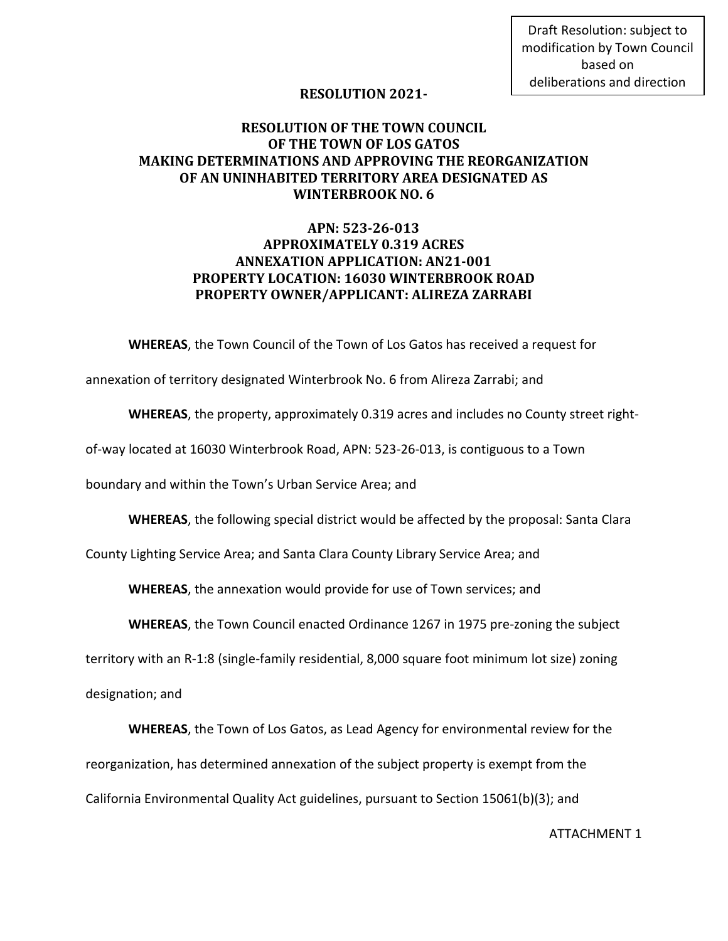Draft Resolution: subject to modification by Town Council based on deliberations and direction

## **RESOLUTION 2021-**

## **RESOLUTION OF THE TOWN COUNCIL OF THE TOWN OF LOS GATOS MAKING DETERMINATIONS AND APPROVING THE REORGANIZATION OF AN UNINHABITED TERRITORY AREA DESIGNATED AS WINTERBROOK NO. 6**

## **APN: 523-26-013 APPROXIMATELY 0.319 ACRES ANNEXATION APPLICATION: AN21-001 PROPERTY LOCATION: 16030 WINTERBROOK ROAD PROPERTY OWNER/APPLICANT: ALIREZA ZARRABI**

**WHEREAS**, the Town Council of the Town of Los Gatos has received a request for

annexation of territory designated Winterbrook No. 6 from Alireza Zarrabi; and

**WHEREAS**, the property, approximately 0.319 acres and includes no County street right-

of-way located at 16030 Winterbrook Road, APN: 523-26-013, is contiguous to a Town

boundary and within the Town's Urban Service Area; and

**WHEREAS**, the following special district would be affected by the proposal: Santa Clara

County Lighting Service Area; and Santa Clara County Library Service Area; and

**WHEREAS**, the annexation would provide for use of Town services; and

**WHEREAS**, the Town Council enacted Ordinance 1267 in 1975 pre-zoning the subject

territory with an R-1:8 (single-family residential, 8,000 square foot minimum lot size) zoning

designation; and

**WHEREAS**, the Town of Los Gatos, as Lead Agency for environmental review for the reorganization, has determined annexation of the subject property is exempt from the California Environmental Quality Act guidelines, pursuant to Section 15061(b)(3); and

ATTACHMENT 1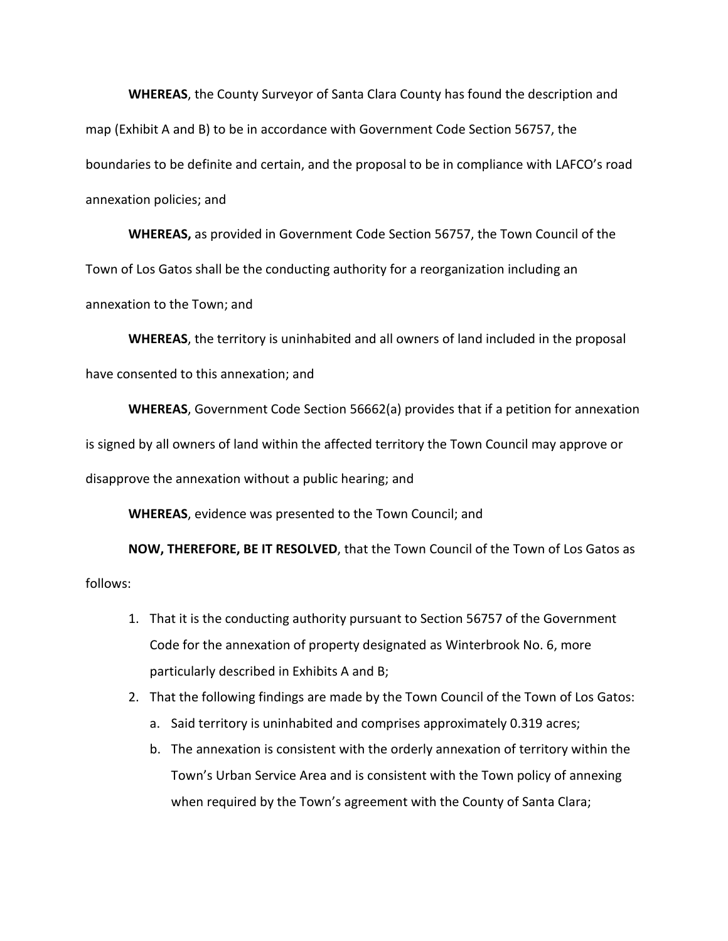**WHEREAS**, the County Surveyor of Santa Clara County has found the description and map (Exhibit A and B) to be in accordance with Government Code Section 56757, the boundaries to be definite and certain, and the proposal to be in compliance with LAFCO's road annexation policies; and

**WHEREAS,** as provided in Government Code Section 56757, the Town Council of the Town of Los Gatos shall be the conducting authority for a reorganization including an annexation to the Town; and

**WHEREAS**, the territory is uninhabited and all owners of land included in the proposal have consented to this annexation; and

**WHEREAS**, Government Code Section 56662(a) provides that if a petition for annexation is signed by all owners of land within the affected territory the Town Council may approve or disapprove the annexation without a public hearing; and

**WHEREAS**, evidence was presented to the Town Council; and

**NOW, THEREFORE, BE IT RESOLVED**, that the Town Council of the Town of Los Gatos as follows:

- 1. That it is the conducting authority pursuant to Section 56757 of the Government Code for the annexation of property designated as Winterbrook No. 6, more particularly described in Exhibits A and B;
- 2. That the following findings are made by the Town Council of the Town of Los Gatos:
	- a. Said territory is uninhabited and comprises approximately 0.319 acres;
	- b. The annexation is consistent with the orderly annexation of territory within the Town's Urban Service Area and is consistent with the Town policy of annexing when required by the Town's agreement with the County of Santa Clara;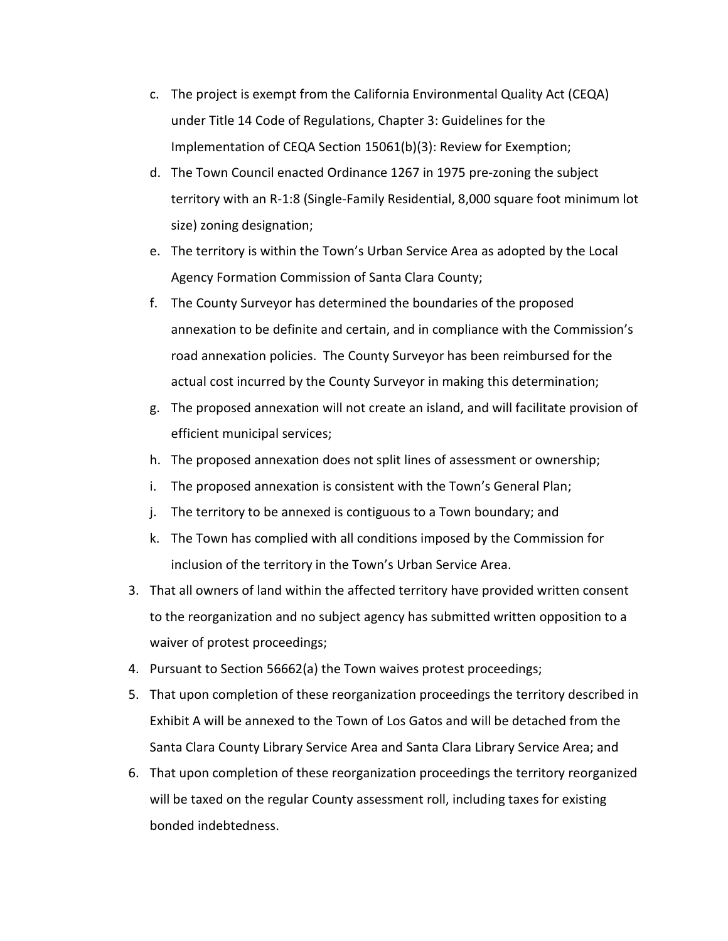- c. The project is exempt from the California Environmental Quality Act (CEQA) under Title 14 Code of Regulations, Chapter 3: Guidelines for the Implementation of CEQA Section 15061(b)(3): Review for Exemption;
- d. The Town Council enacted Ordinance 1267 in 1975 pre-zoning the subject territory with an R-1:8 (Single-Family Residential, 8,000 square foot minimum lot size) zoning designation;
- e. The territory is within the Town's Urban Service Area as adopted by the Local Agency Formation Commission of Santa Clara County;
- f. The County Surveyor has determined the boundaries of the proposed annexation to be definite and certain, and in compliance with the Commission's road annexation policies. The County Surveyor has been reimbursed for the actual cost incurred by the County Surveyor in making this determination;
- g. The proposed annexation will not create an island, and will facilitate provision of efficient municipal services;
- h. The proposed annexation does not split lines of assessment or ownership;
- i. The proposed annexation is consistent with the Town's General Plan;
- j. The territory to be annexed is contiguous to a Town boundary; and
- k. The Town has complied with all conditions imposed by the Commission for inclusion of the territory in the Town's Urban Service Area.
- 3. That all owners of land within the affected territory have provided written consent to the reorganization and no subject agency has submitted written opposition to a waiver of protest proceedings;
- 4. Pursuant to Section 56662(a) the Town waives protest proceedings;
- 5. That upon completion of these reorganization proceedings the territory described in Exhibit A will be annexed to the Town of Los Gatos and will be detached from the Santa Clara County Library Service Area and Santa Clara Library Service Area; and
- 6. That upon completion of these reorganization proceedings the territory reorganized will be taxed on the regular County assessment roll, including taxes for existing bonded indebtedness.